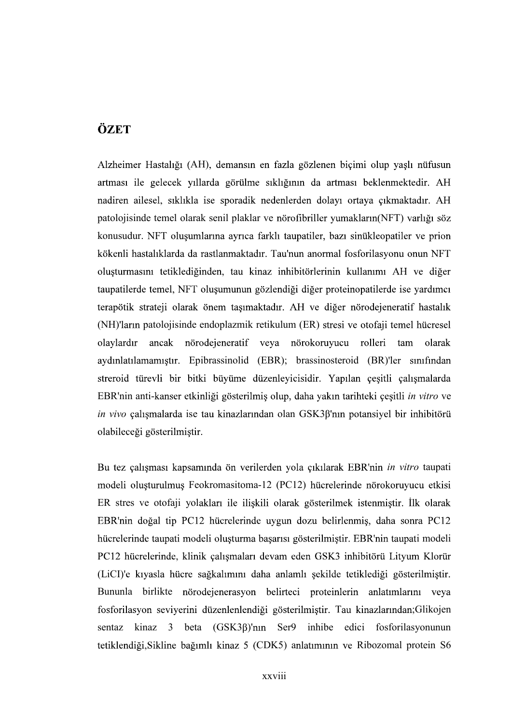## ÖZET

Alzheimer Hastalığı (AH), demansın en fazla gözlenen biçimi olup yaşlı nüfusun artması ile gelecek yıllarda görülme sıklığının da artması beklenmektedir. AH nadiren ailesel, sıklıkla ise sporadik nedenlerden dolayı ortaya çıkmaktadır. AH patolojisinde temel olarak senil plaklar ve nörofibriller yumakların(NFT) varlığı söz konusudur. NFT oluşumlarına ayrıca farklı taupatiler, bazı sinükleopatiler ve prion kökenli hastalıklarda da rastlanmaktadır. Tau'nun anormal fosforilasyonu onun NFT oluşturmasını tetiklediğinden, tau kinaz inhibitörlerinin kullanımı AH ve diğer taupatilerde temel, NFT olusumunun gözlendiği diğer proteinopatilerde ise yardımcı terapötik strateji olarak önem taşımaktadır. AH ve diğer nörodejeneratif hastalık (NH)'ların patolojisinde endoplazmik retikulum (ER) stresi ve otofaji temel hücresel olaylardır ancak nörodejeneratif veya nörokoruyucu rolleri tam olarak aydınlatılamamıştır. Epibrassinolid (EBR); brassinosteroid (BR)'ler sınıfından streroid türevli bir bitki büyüme düzenleyicisidir. Yapılan çeşitli çalışmalarda EBR'nin anti-kanser etkinliği gösterilmiş olup, daha yakın tarihteki çeşitli in vitro ve in vivo çalışmalarda ise tau kinazlarından olan  $GSK3\beta'$ nın potansiyel bir inhibitörü olabileceği gösterilmiştir.

Bu tez calismasi kapsaminda ön verilerden yola çıkılarak EBR'nin in vitro taupati modeli oluşturulmuş Feokromasitoma-12 (PC12) hücrelerinde nörokoruyucu etkisi ER stres ve otofaji yolakları ile ilişkili olarak gösterilmek istenmiştir. İlk olarak EBR'nin doğal tip PC12 hücrelerinde uygun dozu belirlenmiş, daha sonra PC12 hücrelerinde taupati modeli oluşturma başarısı gösterilmiştir. EBR'nin taupati modeli PC12 hücrelerinde, klinik çalışmaları devam eden GSK3 inhibitörü Lityum Klorür (LiCI)'e kıyasla hücre sağkalımını daha anlamlı şekilde tetiklediği gösterilmiştir. Bununla birlikte nörodejenerasyon belirteci proteinlerin anlatımlarını veya fosforilasyon seviyerini düzenlenlendiği gösterilmiştir. Tau kinazlarından;Glikojen  $sentaz$  kinaz 3 beta  $(GSK3\beta)$ 'nın Ser $9$  inhibe edici fosforilasyonunun tetiklendiği, Sikline bağımlı kinaz 5 (CDK5) anlatımının ve Ribozomal protein S6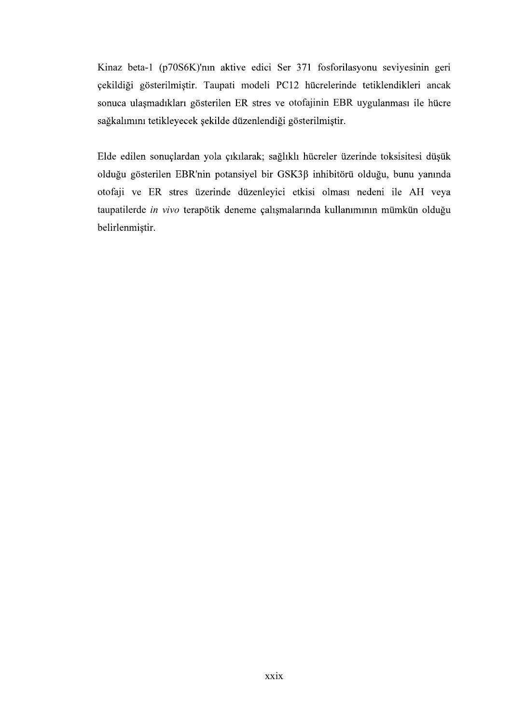Kinaz beta-1 (p70S6K)'nın aktive edici Ser 371 fosforilasyonu seviyesinin geri çekildiği gösterilmiştir. Taupati modeli PC12 hücrelerinde tetiklendikleri ancak sonuca ulaşmadıkları gösterilen ER stres ve otofajinin EBR uygulanması ile hücre sağkalımını tetikleyecek şekilde düzenlendiği gösterilmiştir.

Elde edilen sonuçlardan yola çıkılarak; sağlıklı hücreler üzerinde toksisitesi düşük olduğu gösterilen EBR'nin potansiyel bir GSK3ß inhibitörü olduğu, bunu yanında otofaji ve ER stres üzerinde düzenleyici etkisi olması nedeni ile AH veya taupatilerde in vivo terapötik deneme çalışmalarında kullanımının mümkün olduğu belirlenmiştir.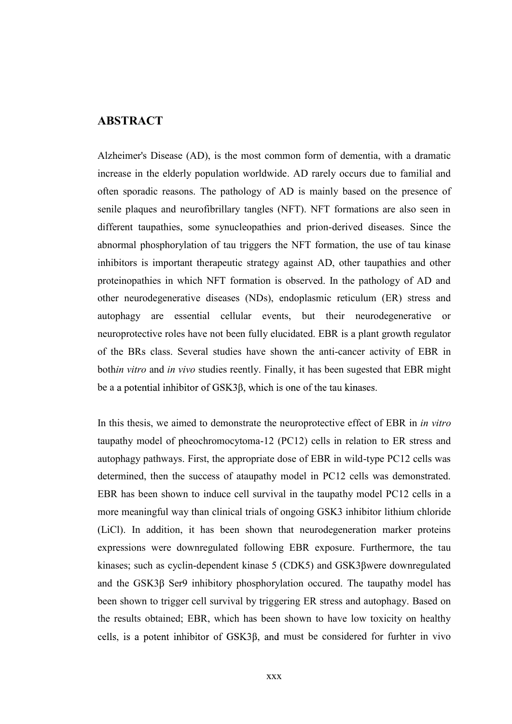## ABSTRACT

Alzheimer's Disease (AD), is the most common form of dementia, with a dramatic increase in the elderly population worldwide. AD rarely occurs due to familial and often sporadic reasons. The pathology of AD is mainly based on the presence of senile plaques and neurofibrillary tangles (NFT). NFT formations are also seen in different taupathies, some synucleopathies and prion-derived diseases. Since the abnormal phosphorylation of tau triggers the NFT formation, the use of tau kinase inhibitors is important therapeutic strategy against AD, other taupathies and other proteinopathies in which NFT formation is observed. In the pathology of AD and other neurodegenerative diseases (NDs), endoplasmic reticulum (ER) stress and autophagy are essential cellular events, but their neurodegenerative or neuroprotective roles have not been fully elucidated. EBR is a plant growth regulator of the BRs class. Several studies have shown the anti-cancer activity of EBR in bothin vitro and in vivo studies reently. Finally, it has been sugested that EBR might be a a potential inhibitor of  $GSK3\beta$ , which is one of the tau kinases.

In this thesis, we aimed to demonstrate the neuroprotective effect of EBR in in vitro taupathy model of pheochromocytoma-12 (PC12) cells in relation to ER stress and autophagy pathways. First, the appropriate dose of EBR in wild-type PC12 cells was determined, then the success of ataupathy model in PC12 cells was demonstrated. EBR has been shown to induce cell survival in the taupathy model PC12 cells in a more meaningful way than clinical trials of ongoing GSK3 inhibitor lithium chloride (LiCl). In addition, it has been shown that neurodegeneration marker proteins expressions were downregulated following EBR exposure. Furthermore, the tau kinases; such as cyclin-dependent kinase 5 (CDK5) and GSK3 flwere downregulated and the  $GSK3\beta$  Ser9 inhibitory phosphorylation occured. The taupathy model has been shown to trigger cell survival by triggering ER stress and autophagy. Based on the results obtained; EBR, which has been shown to have low toxicity on healthy cells, is a potent inhibitor of GSK3B, and must be considered for furhter in vivo